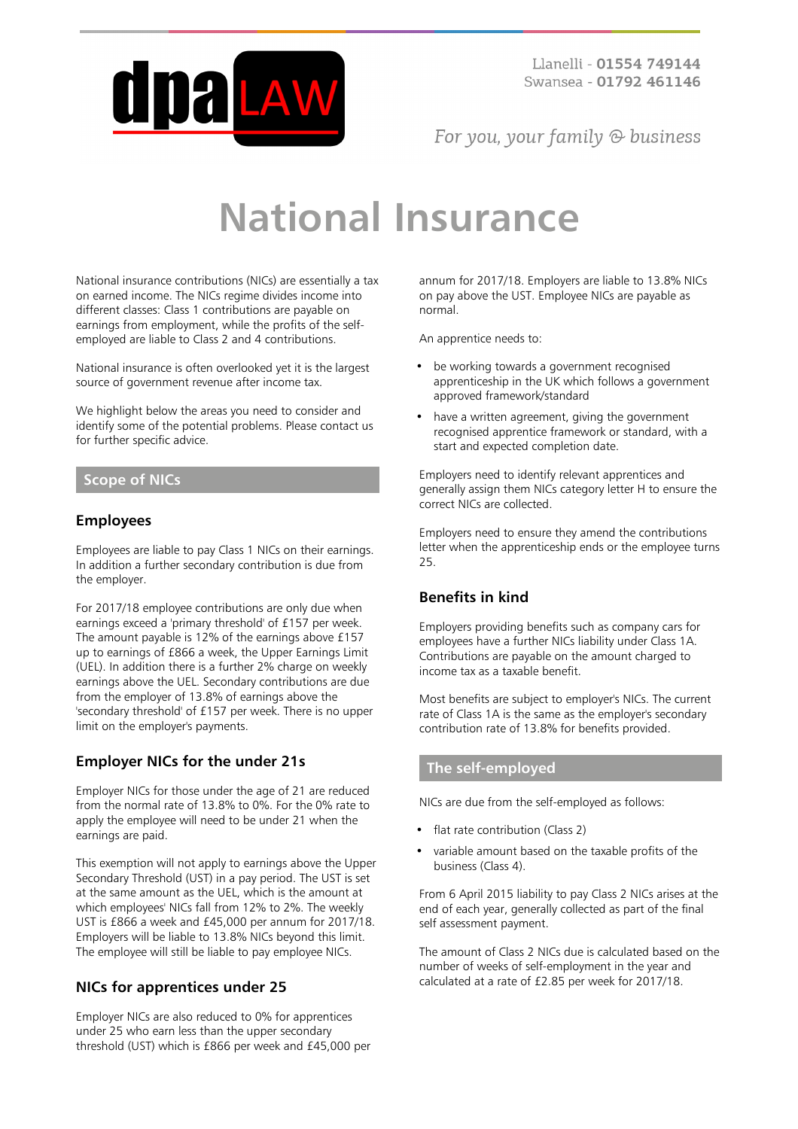

For you, your family  $\odot$  business

# **National Insurance**

National insurance contributions (NICs) are essentially a tax on earned income. The NICs regime divides income into different classes: Class 1 contributions are payable on earnings from employment, while the profits of the selfemployed are liable to Class 2 and 4 contributions.

National insurance is often overlooked yet it is the largest source of government revenue after income tax.

We highlight below the areas you need to consider and identify some of the potential problems. Please contact us for further specific advice.

# **Scope of NICs**

# **Employees**

Employees are liable to pay Class 1 NICs on their earnings. In addition a further secondary contribution is due from the employer.

For 2017/18 employee contributions are only due when earnings exceed a 'primary threshold' of £157 per week. The amount payable is 12% of the earnings above £157 up to earnings of £866 a week, the Upper Earnings Limit (UEL). In addition there is a further 2% charge on weekly earnings above the UEL. Secondary contributions are due from the employer of 13.8% of earnings above the 'secondary threshold' of £157 per week. There is no upper limit on the employer's payments.

# **Employer NICs for the under 21s**

Employer NICs for those under the age of 21 are reduced from the normal rate of 13.8% to 0%. For the 0% rate to apply the employee will need to be under 21 when the earnings are paid.

This exemption will not apply to earnings above the Upper Secondary Threshold (UST) in a pay period. The UST is set at the same amount as the UEL, which is the amount at which employees' NICs fall from 12% to 2%. The weekly UST is £866 a week and £45,000 per annum for 2017/18. Employers will be liable to 13.8% NICs beyond this limit. The employee will still be liable to pay employee NICs.

# **NICs for apprentices under 25**

Employer NICs are also reduced to 0% for apprentices under 25 who earn less than the upper secondary threshold (UST) which is £866 per week and £45,000 per annum for 2017/18. Employers are liable to 13.8% NICs on pay above the UST. Employee NICs are payable as normal.

An apprentice needs to:

- be working towards a government recognised apprenticeship in the UK which follows a government approved framework/standard
- have a written agreement, giving the government recognised apprentice framework or standard, with a start and expected completion date.

Employers need to identify relevant apprentices and generally assign them NICs category letter H to ensure the correct NICs are collected.

Employers need to ensure they amend the contributions letter when the apprenticeship ends or the employee turns 25.

# **Benefits in kind**

Employers providing benefits such as company cars for employees have a further NICs liability under Class 1A. Contributions are payable on the amount charged to income tax as a taxable benefit.

Most benefits are subject to employer's NICs. The current rate of Class 1A is the same as the employer's secondary contribution rate of 13.8% for benefits provided.

# **The self-employed**

NICs are due from the self-employed as follows:

- flat rate contribution (Class 2)
- variable amount based on the taxable profits of the business (Class 4).

From 6 April 2015 liability to pay Class 2 NICs arises at the end of each year, generally collected as part of the final self assessment payment.

The amount of Class 2 NICs due is calculated based on the number of weeks of self-employment in the year and calculated at a rate of £2.85 per week for 2017/18.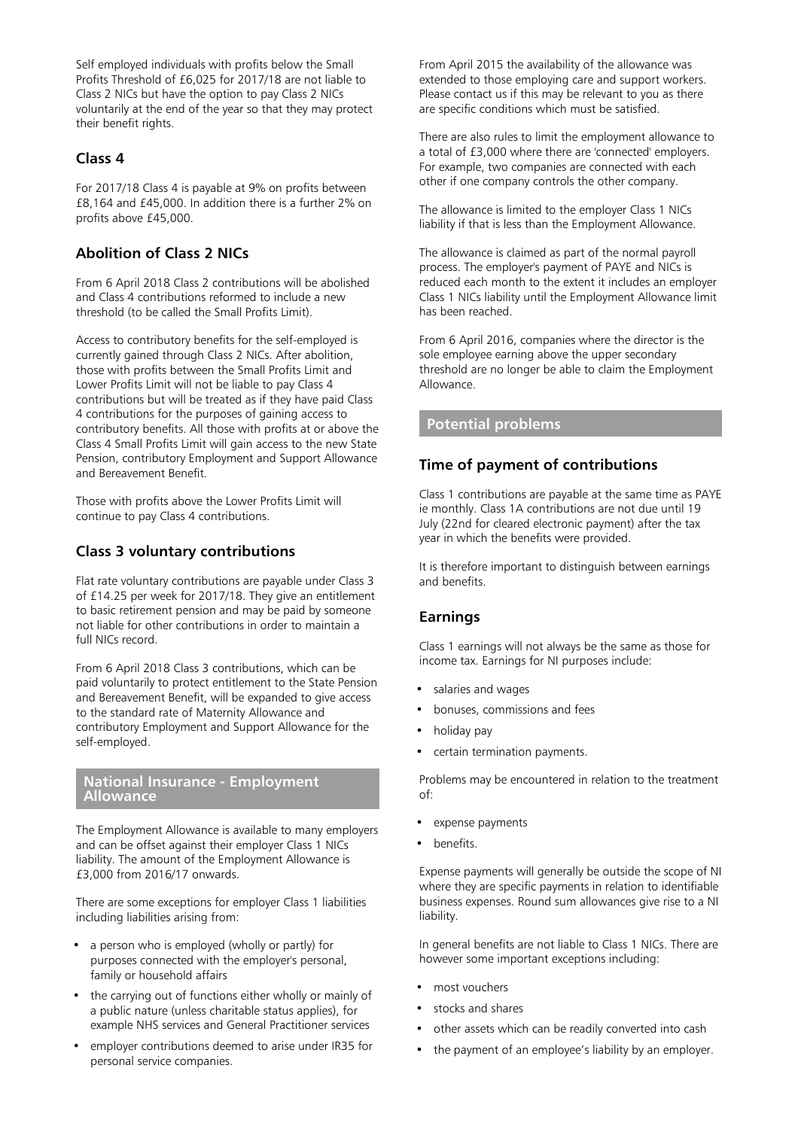Self employed individuals with profits below the Small Profits Threshold of £6,025 for 2017/18 are not liable to Class 2 NICs but have the option to pay Class 2 NICs voluntarily at the end of the year so that they may protect their benefit rights.

#### **Class 4**

For 2017/18 Class 4 is payable at 9% on profits between £8,164 and £45,000. In addition there is a further 2% on profits above £45,000.

# **Abolition of Class 2 NICs**

From 6 April 2018 Class 2 contributions will be abolished and Class 4 contributions reformed to include a new threshold (to be called the Small Profits Limit).

Access to contributory benefits for the self-employed is currently gained through Class 2 NICs. After abolition, those with profits between the Small Profits Limit and Lower Profits Limit will not be liable to pay Class 4 contributions but will be treated as if they have paid Class 4 contributions for the purposes of gaining access to contributory benefits. All those with profits at or above the Class 4 Small Profits Limit will gain access to the new State Pension, contributory Employment and Support Allowance and Bereavement Benefit.

Those with profits above the Lower Profits Limit will continue to pay Class 4 contributions.

# **Class 3 voluntary contributions**

Flat rate voluntary contributions are payable under Class 3 of £14.25 per week for 2017/18. They give an entitlement to basic retirement pension and may be paid by someone not liable for other contributions in order to maintain a full NICs record.

From 6 April 2018 Class 3 contributions, which can be paid voluntarily to protect entitlement to the State Pension and Bereavement Benefit, will be expanded to give access to the standard rate of Maternity Allowance and contributory Employment and Support Allowance for the self-employed.

#### **National Insurance - Employment Allowance**

The Employment Allowance is available to many employers and can be offset against their employer Class 1 NICs liability. The amount of the Employment Allowance is £3,000 from 2016/17 onwards.

There are some exceptions for employer Class 1 liabilities including liabilities arising from:

- a person who is employed (wholly or partly) for purposes connected with the employer's personal, family or household affairs
- the carrying out of functions either wholly or mainly of a public nature (unless charitable status applies), for example NHS services and General Practitioner services
- employer contributions deemed to arise under IR35 for personal service companies.

From April 2015 the availability of the allowance was extended to those employing care and support workers. Please contact us if this may be relevant to you as there are specific conditions which must be satisfied.

There are also rules to limit the employment allowance to a total of £3,000 where there are 'connected' employers. For example, two companies are connected with each other if one company controls the other company.

The allowance is limited to the employer Class 1 NICs liability if that is less than the Employment Allowance.

The allowance is claimed as part of the normal payroll process. The employer's payment of PAYE and NICs is reduced each month to the extent it includes an employer Class 1 NICs liability until the Employment Allowance limit has been reached.

From 6 April 2016, companies where the director is the sole employee earning above the upper secondary threshold are no longer be able to claim the Employment Allowance.

# **Potential problems**

# **Time of payment of contributions**

Class 1 contributions are payable at the same time as PAYE ie monthly. Class 1A contributions are not due until 19 July (22nd for cleared electronic payment) after the tax year in which the benefits were provided.

It is therefore important to distinguish between earnings and benefits.

# **Earnings**

Class 1 earnings will not always be the same as those for income tax. Earnings for NI purposes include:

- salaries and wages
- bonuses, commissions and fees
- holiday pay
- certain termination payments.

Problems may be encountered in relation to the treatment of:

- expense payments
- benefits.

Expense payments will generally be outside the scope of NI where they are specific payments in relation to identifiable business expenses. Round sum allowances give rise to a NI liability.

In general benefits are not liable to Class 1 NICs. There are however some important exceptions including:

- most vouchers
- stocks and shares
- other assets which can be readily converted into cash
- the payment of an employee's liability by an employer.